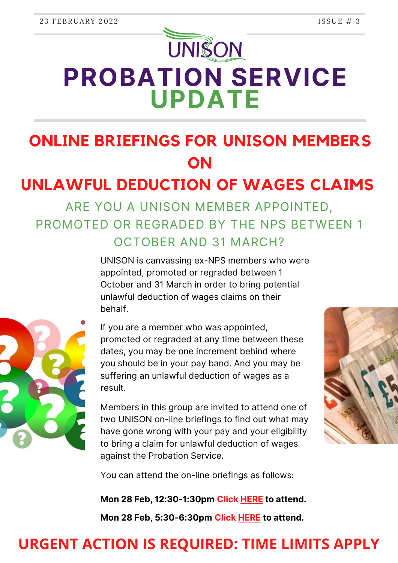# **UNISON PROBATION SERVICE UPDATE**

## **ONLINE BRIEFINGS FOR UNISON MEMBERS ON**

## **UNLAWFUL DEDUCTION OF WAGES CLAIMS**

ARE YOU A UNISON MEMBER APPOINTED, PROMOTED OR REGRADED BY THE NPS BETWEEN 1 OCTOBER AND 31 MARCH?



UNISON is canvassing ex-NPS members who were appointed, promoted or regraded between 1 October and 31 March in order to bring potential unlawful deduction of wages claims on their behalf.

If you are a member who was appointed, promoted or regraded at any time between these dates, you may be one increment behind where you should be in your pay band. And you may be suffering an unlawful deduction of wages as a result.

Members in this group are invited to attend one of two UNISON on-line briefings to find out what may have gone wrong with your pay and your eligibility to bring a claim for unlawful deduction of wages against the Probation Service.



You can attend the on-line briefings as follows:

**Mon 28 Feb, 12:30-1:30pm [Click](https://teams.microsoft.com/l/meetup-join/19%3ameeting_MjhhZWE2MTYtZGVkNy00NTA3LTkzZWYtMmM4NzIxMmNiY2Vm%40thread.v2/0?context=%7b%22Tid%22%3a%22d7c21edf-d541-49a4-9f5a-7737832d42c7%22%2c%22Oid%22%3a%2244363e80-bad6-4382-998d-5beccc24a6bd%22%7d) [HERE](https://teams.microsoft.com/l/meetup-join/19%3ameeting_MjhhZWE2MTYtZGVkNy00NTA3LTkzZWYtMmM4NzIxMmNiY2Vm%40thread.v2/0?context=%7b%22Tid%22%3a%22d7c21edf-d541-49a4-9f5a-7737832d42c7%22%2c%22Oid%22%3a%2244363e80-bad6-4382-998d-5beccc24a6bd%22%7d) to attend. Mon 28 Feb, 5:30-6:30pm [Click](https://teams.microsoft.com/l/meetup-join/19%3ameeting_MjhhZWE2MTYtZGVkNy00NTA3LTkzZWYtMmM4NzIxMmNiY2Vm%40thread.v2/0?context=%7b%22Tid%22%3a%22d7c21edf-d541-49a4-9f5a-7737832d42c7%22%2c%22Oid%22%3a%2244363e80-bad6-4382-998d-5beccc24a6bd%22%7d) [HERE](https://teams.microsoft.com/l/meetup-join/19%3ameeting_MjhhZWE2MTYtZGVkNy00NTA3LTkzZWYtMmM4NzIxMmNiY2Vm%40thread.v2/0?context=%7b%22Tid%22%3a%22d7c21edf-d541-49a4-9f5a-7737832d42c7%22%2c%22Oid%22%3a%2244363e80-bad6-4382-998d-5beccc24a6bd%22%7d) to attend.**

#### **URGENT ACTION IS REQUIRED: TIME LIMITS APPLY**